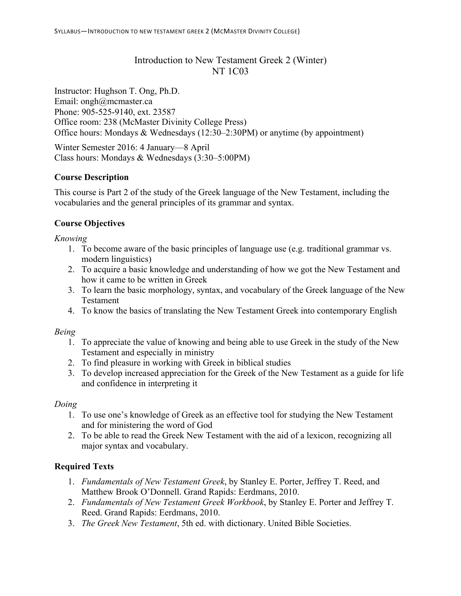# Introduction to New Testament Greek 2 (Winter) NT 1C03

Instructor: Hughson T. Ong, Ph.D. Email: ongh@mcmaster.ca Phone: 905-525-9140, ext. 23587 Office room: 238 (McMaster Divinity College Press) Office hours: Mondays & Wednesdays (12:30–2:30PM) or anytime (by appointment)

Winter Semester 2016: 4 January—8 April Class hours: Mondays & Wednesdays (3:30–5:00PM)

# **Course Description**

This course is Part 2 of the study of the Greek language of the New Testament, including the vocabularies and the general principles of its grammar and syntax.

# **Course Objectives**

*Knowing*

- 1. To become aware of the basic principles of language use (e.g. traditional grammar vs. modern linguistics)
- 2. To acquire a basic knowledge and understanding of how we got the New Testament and how it came to be written in Greek
- 3. To learn the basic morphology, syntax, and vocabulary of the Greek language of the New Testament
- 4. To know the basics of translating the New Testament Greek into contemporary English

# *Being*

- 1. To appreciate the value of knowing and being able to use Greek in the study of the New Testament and especially in ministry
- 2. To find pleasure in working with Greek in biblical studies
- 3. To develop increased appreciation for the Greek of the New Testament as a guide for life and confidence in interpreting it

# *Doing*

- 1. To use one's knowledge of Greek as an effective tool for studying the New Testament and for ministering the word of God
- 2. To be able to read the Greek New Testament with the aid of a lexicon, recognizing all major syntax and vocabulary.

# **Required Texts**

- 1. *Fundamentals of New Testament Greek*, by Stanley E. Porter, Jeffrey T. Reed, and Matthew Brook O'Donnell. Grand Rapids: Eerdmans, 2010.
- 2. *Fundamentals of New Testament Greek Workbook*, by Stanley E. Porter and Jeffrey T. Reed. Grand Rapids: Eerdmans, 2010.
- 3. *The Greek New Testament*, 5th ed. with dictionary. United Bible Societies.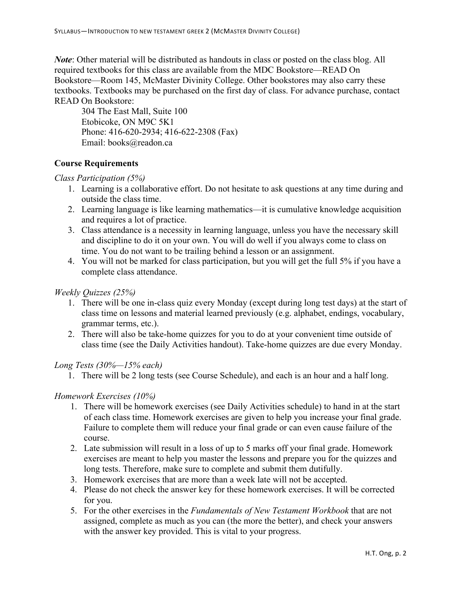*Note*: Other material will be distributed as handouts in class or posted on the class blog. All required textbooks for this class are available from the MDC Bookstore—READ On Bookstore—Room 145, McMaster Divinity College. Other bookstores may also carry these textbooks. Textbooks may be purchased on the first day of class. For advance purchase, contact READ On Bookstore:

304 The East Mall, Suite 100 Etobicoke, ON M9C 5K1 Phone: 416-620-2934; 416-622-2308 (Fax) Email: books@readon.ca

# **Course Requirements**

*Class Participation (5%)*

- 1. Learning is a collaborative effort. Do not hesitate to ask questions at any time during and outside the class time.
- 2. Learning language is like learning mathematics—it is cumulative knowledge acquisition and requires a lot of practice.
- 3. Class attendance is a necessity in learning language, unless you have the necessary skill and discipline to do it on your own. You will do well if you always come to class on time. You do not want to be trailing behind a lesson or an assignment.
- 4. You will not be marked for class participation, but you will get the full 5% if you have a complete class attendance.

### *Weekly Quizzes (25%)*

- 1. There will be one in-class quiz every Monday (except during long test days) at the start of class time on lessons and material learned previously (e.g. alphabet, endings, vocabulary, grammar terms, etc.).
- 2. There will also be take-home quizzes for you to do at your convenient time outside of class time (see the Daily Activities handout). Take-home quizzes are due every Monday.

*Long Tests (30%—15% each)*

1. There will be 2 long tests (see Course Schedule), and each is an hour and a half long.

# *Homework Exercises (10%)*

- 1. There will be homework exercises (see Daily Activities schedule) to hand in at the start of each class time. Homework exercises are given to help you increase your final grade. Failure to complete them will reduce your final grade or can even cause failure of the course.
- 2. Late submission will result in a loss of up to 5 marks off your final grade. Homework exercises are meant to help you master the lessons and prepare you for the quizzes and long tests. Therefore, make sure to complete and submit them dutifully.
- 3. Homework exercises that are more than a week late will not be accepted.
- 4. Please do not check the answer key for these homework exercises. It will be corrected for you.
- 5. For the other exercises in the *Fundamentals of New Testament Workbook* that are not assigned, complete as much as you can (the more the better), and check your answers with the answer key provided. This is vital to your progress.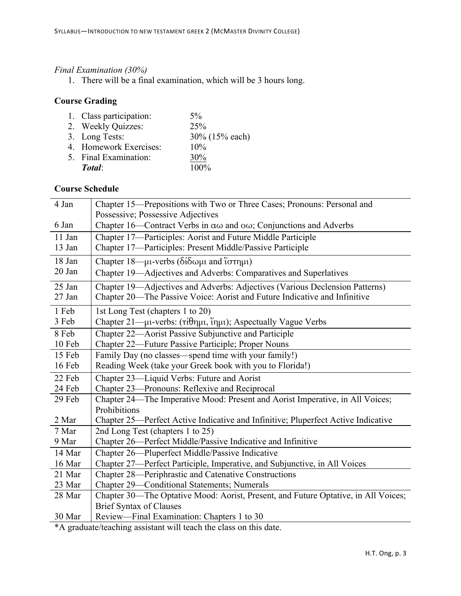### *Final Examination (30%)*

1. There will be a final examination, which will be 3 hours long.

# **Course Grading**

| 1. Class participation: | $5\%$          |
|-------------------------|----------------|
| 2. Weekly Quizzes:      | 25%            |
| 3. Long Tests:          | 30% (15% each) |
| 4. Homework Exercises:  | 10%            |
| 5. Final Examination:   | 30%            |
| Total:                  | 100%           |

### **Course Schedule**

| Chapter 15-Prepositions with Two or Three Cases; Pronouns: Personal and                   |
|-------------------------------------------------------------------------------------------|
| Possessive; Possessive Adjectives                                                         |
| Chapter 16—Contract Verbs in $\alpha\omega$ and $\omega\omega$ ; Conjunctions and Adverbs |
| Chapter 17—Participles: Aorist and Future Middle Participle                               |
| Chapter 17-Participles: Present Middle/Passive Participle                                 |
| Chapter 18—μι-verbs (δίδωμι and ίστημι)                                                   |
| Chapter 19—Adjectives and Adverbs: Comparatives and Superlatives                          |
| Chapter 19-Adjectives and Adverbs: Adjectives (Various Declension Patterns)               |
| Chapter 20—The Passive Voice: Aorist and Future Indicative and Infinitive                 |
| 1st Long Test (chapters 1 to 20)                                                          |
| Chapter 21—μι-verbs: (τίθημι, ἵημι); Aspectually Vague Verbs                              |
| Chapter 22—Aorist Passive Subjunctive and Participle                                      |
| Chapter 22—Future Passive Participle; Proper Nouns                                        |
| Family Day (no classes—spend time with your family!)                                      |
| Reading Week (take your Greek book with you to Florida!)                                  |
| Chapter 23—Liquid Verbs: Future and Aorist                                                |
| Chapter 23—Pronouns: Reflexive and Reciprocal                                             |
| Chapter 24—The Imperative Mood: Present and Aorist Imperative, in All Voices;             |
| Prohibitions                                                                              |
| Chapter 25—Perfect Active Indicative and Infinitive; Pluperfect Active Indicative         |
| 2nd Long Test (chapters 1 to 25)                                                          |
| Chapter 26—Perfect Middle/Passive Indicative and Infinitive                               |
| Chapter 26—Pluperfect Middle/Passive Indicative                                           |
| Chapter 27-Perfect Participle, Imperative, and Subjunctive, in All Voices                 |
| Chapter 28—Periphrastic and Catenative Constructions                                      |
| Chapter 29-Conditional Statements; Numerals                                               |
| Chapter 30—The Optative Mood: Aorist, Present, and Future Optative, in All Voices;        |
| <b>Brief Syntax of Clauses</b>                                                            |
| Review—Final Examination: Chapters 1 to 30                                                |
|                                                                                           |

\*A graduate/teaching assistant will teach the class on this date.